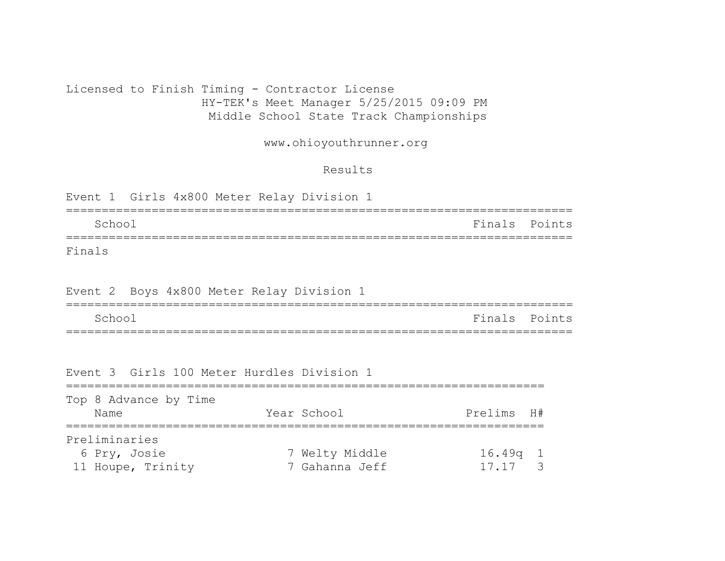# Licensed to Finish Timing - Contractor License HY-TEK's Meet Manager 5/25/2015 09:09 PM Middle School State Track Championships

www.ohioyouthrunner.org

### Results

|        |        |  |  | Event 1 Girls 4x800 Meter Relay Division 1 |  |               |  |
|--------|--------|--|--|--------------------------------------------|--|---------------|--|
|        | School |  |  |                                            |  | Finals Points |  |
| Finals |        |  |  |                                            |  |               |  |

# Event 2 Boys 4x800 Meter Relay Division 1

| School | Finals Points |  |
|--------|---------------|--|
|        |               |  |

#### Event 3 Girls 100 Meter Hurdles Division 1

| Top 8 Advance by Time |                |            |  |
|-----------------------|----------------|------------|--|
| Name                  | Year School    | Prelims H# |  |
| Preliminaries         |                |            |  |
| 6 Pry, Josie          | 7 Welty Middle | $16.49q$ 1 |  |
| 11 Houpe, Trinity     | 7 Gahanna Jeff | 17.17      |  |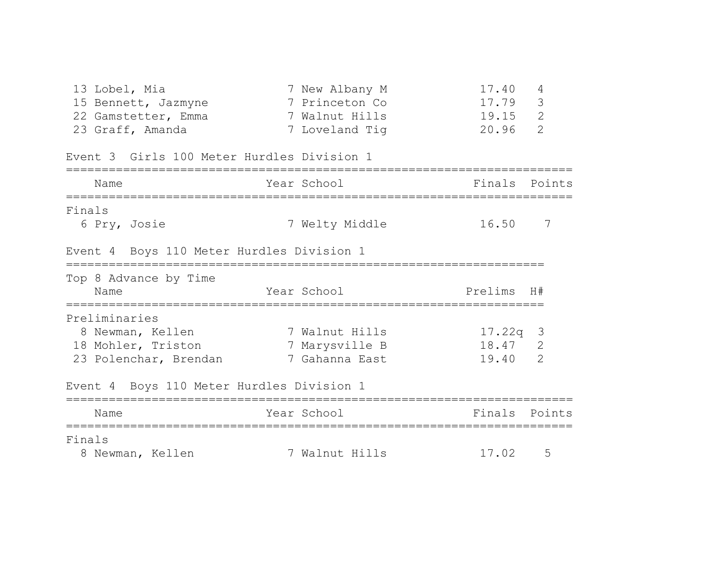|        | 13 Lobel, Mia<br>15 Bennett, Jazmyne<br>22 Gamstetter, Emma 7 Walnut Hills<br>23 Graff, Amanda<br>Event 3 Girls 100 Meter Hurdles Division 1 | 7 New Albany M<br>7 Princeton Co<br>7 Loveland Tig | 17.40<br>4<br>3<br>17.79<br>2<br>19.15<br>$\mathcal{L}$<br>20.96 |
|--------|----------------------------------------------------------------------------------------------------------------------------------------------|----------------------------------------------------|------------------------------------------------------------------|
|        | Name                                                                                                                                         | Year School                                        | Finals<br>Points                                                 |
| Finals |                                                                                                                                              |                                                    |                                                                  |
|        | 6 Pry, Josie                                                                                                                                 | 7 Welty Middle                                     | 7<br>16.50                                                       |
|        | Event 4 Boys 110 Meter Hurdles Division 1<br>===================                                                                             |                                                    |                                                                  |
|        | Top 8 Advance by Time<br>Name                                                                                                                | Year School                                        | Prelims H#                                                       |
|        | Preliminaries                                                                                                                                |                                                    |                                                                  |
|        | 8 Newman, Kellen                                                                                                                             | 7 Walnut Hills                                     | 17.22q 3                                                         |
|        | 18 Mohler, Triston                                                                                                                           | 7 Marysville B                                     | 18.47 2                                                          |
|        | 23 Polenchar, Brendan 7 Gahanna East                                                                                                         |                                                    | 2<br>19.40                                                       |
|        | Event 4 Boys 110 Meter Hurdles Division 1                                                                                                    |                                                    |                                                                  |
|        | Name                                                                                                                                         | Year School                                        | Finals Points                                                    |
|        |                                                                                                                                              |                                                    |                                                                  |
| Finals |                                                                                                                                              |                                                    |                                                                  |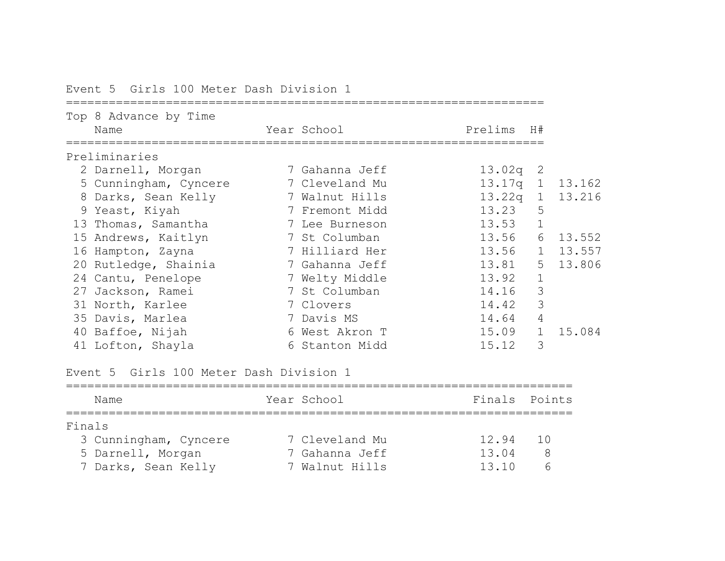| Top 8 Advance by Time<br>Name | Year School    | Prelims H# |              |          |
|-------------------------------|----------------|------------|--------------|----------|
| Preliminaries                 |                |            |              |          |
| 2 Darnell, Morgan             | 7 Gahanna Jeff | 13.02q     | -2           |          |
| 5 Cunningham, Cyncere         | 7 Cleveland Mu | 13.17q     |              | 1 13.162 |
| 8 Darks, Sean Kelly           | 7 Walnut Hills | 13.22q     |              | 1 13.216 |
| 9 Yeast, Kiyah                | 7 Fremont Midd | 13.23      | 5            |          |
| 13 Thomas, Samantha           | 7 Lee Burneson | 13.53      | $\mathbf{1}$ |          |
| 15 Andrews, Kaitlyn           | 7 St Columban  | 13.56      | 6            | 13.552   |
| 16 Hampton, Zayna             | 7 Hilliard Her | 13.56      | 1            | 13.557   |
| 20 Rutledge, Shainia          | 7 Gahanna Jeff | 13.81      |              | 5 13.806 |
| 24 Cantu, Penelope            | 7 Welty Middle | 13.92      | $\mathbf{1}$ |          |
| 27 Jackson, Ramei             | 7 St Columban  | 14.16      | 3            |          |
| 31 North, Karlee              | 7 Clovers      | 14.42      | 3            |          |
| 35 Davis, Marlea              | 7 Davis MS     | 14.64      | 4            |          |
| 40 Baffoe, Nijah              | 6 West Akron T | 15.09      | $\mathbf{1}$ | 15.084   |
| 41 Lofton, Shayla             | 6 Stanton Midd | 15.12      | 3            |          |

Event 5 Girls 100 Meter Dash Division 1

Event 5 Girls 100 Meter Dash Division 1

|        | Name                  | Year School    | Finals Points |     |
|--------|-----------------------|----------------|---------------|-----|
| Finals |                       |                |               |     |
|        | 3 Cunningham, Cyncere | 7 Cleveland Mu | 12.94         | 1 N |
|        | 5 Darnell, Morgan     | 7 Gahanna Jeff | 13.04         | 8   |
|        | 7 Darks, Sean Kelly   | 7 Walnut Hills | 13.10         |     |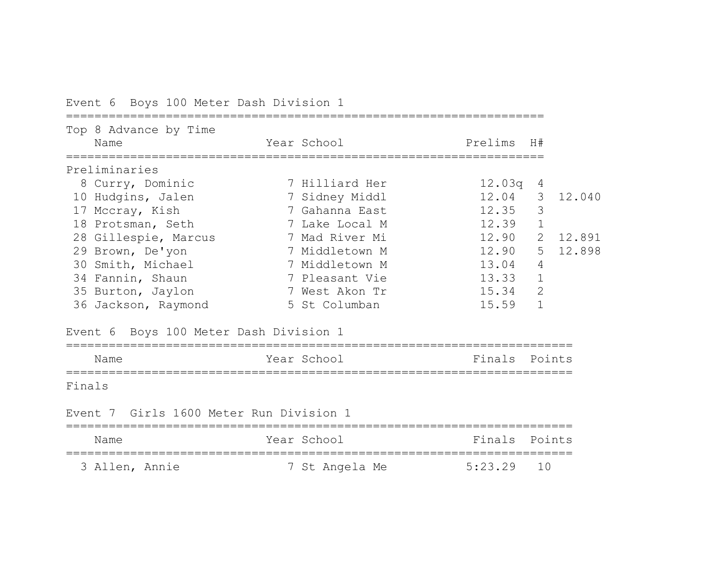Event 6 Boys 100 Meter Dash Division 1

|        | Top 8 Advance by Time<br>Name           | Year School    | Prelims H#    |                |          |
|--------|-----------------------------------------|----------------|---------------|----------------|----------|
|        |                                         |                |               |                |          |
|        | Preliminaries                           |                |               |                |          |
|        | 8 Curry, Dominic                        | 7 Hilliard Her | 12.03q        | 4              |          |
|        | 10 Hudgins, Jalen                       | 7 Sidney Middl | 12.04         | 3              | 12.040   |
|        | 17 Mccray, Kish                         | 7 Gahanna East | 12.35         | 3              |          |
|        | 18 Protsman, Seth                       | 7 Lake Local M | 12.39         | $1\,$          |          |
|        | 28 Gillespie, Marcus                    | 7 Mad River Mi | 12.90         |                | 2 12.891 |
|        | 29 Brown, De'yon                        | 7 Middletown M | 12.90         | 5              | 12.898   |
|        | 30 Smith, Michael                       | 7 Middletown M | 13.04         | $\overline{4}$ |          |
|        | 34 Fannin, Shaun                        | 7 Pleasant Vie | 13.33         | $1\,$          |          |
|        | 35 Burton, Jaylon                       | 7 West Akon Tr | 15.34         | 2              |          |
|        | 36 Jackson, Raymond                     | 5 St Columban  | 15.59         | $\mathbf 1$    |          |
|        | Event 6 Boys 100 Meter Dash Division 1  |                |               |                |          |
|        | Name                                    | Year School    | Finals Points |                |          |
| Finals |                                         |                |               |                |          |
|        | Event 7 Girls 1600 Meter Run Division 1 |                |               |                |          |
|        | Name                                    | Year School    | Finals        | Points         |          |
|        | 3 Allen, Annie                          | 7 St Angela Me | 5:23.29       | 10             |          |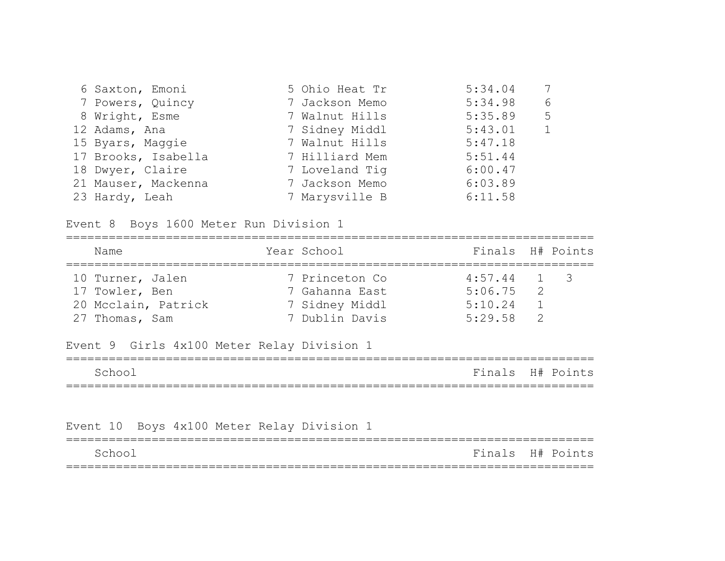| 6 Saxton, Emoni     | 5 Ohio Heat Tr | 5:34.04 |   |
|---------------------|----------------|---------|---|
| 7 Powers, Quincy    | 7 Jackson Memo | 5:34.98 | 6 |
| 8 Wright, Esme      | 7 Walnut Hills | 5:35.89 | 5 |
| 12 Adams, Ana       | 7 Sidney Middl | 5:43.01 | 1 |
| 15 Byars, Maggie    | 7 Walnut Hills | 5:47.18 |   |
| 17 Brooks, Isabella | 7 Hilliard Mem | 5:51.44 |   |
| 18 Dwyer, Claire    | 7 Loveland Tig | 6:00.47 |   |
| 21 Mauser, Mackenna | 7 Jackson Memo | 6:03.89 |   |
| 23 Hardy, Leah      | 7 Marysville B | 6:11.58 |   |

Event 8 Boys 1600 Meter Run Division 1

| Name                | Year School    | Finals H# Points |               |  |
|---------------------|----------------|------------------|---------------|--|
| 10 Turner, Jalen    | 7 Princeton Co | $4:57.44$ 1 3    |               |  |
| 17 Towler, Ben      | 7 Gahanna East | 5:06.75          | $\mathcal{L}$ |  |
| 20 Mcclain, Patrick | 7 Sidney Middl | 5:10.24          |               |  |
| 27 Thomas, Sam      | 7 Dublin Davis | 5:29.58          |               |  |

# Event 9 Girls 4x100 Meter Relay Division 1

| Schoo |  | Finals H# Points |
|-------|--|------------------|
|       |  |                  |

# Event 10 Boys 4x100 Meter Relay Division 1

| School |  | Finals H# Points |
|--------|--|------------------|
|        |  |                  |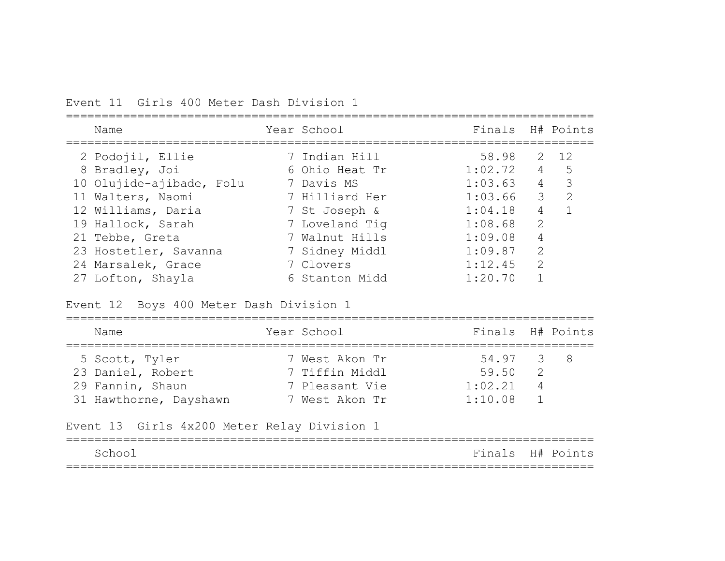Event 11 Girls 400 Meter Dash Division 1

| Name                     | Year School    | Finals H# Points |                |                          |
|--------------------------|----------------|------------------|----------------|--------------------------|
| 2 Podojil, Ellie         | 7 Indian Hill  | 58.98            |                | 2 12                     |
| 8 Bradley, Joi           | 6 Ohio Heat Tr | 1:02.72          |                | 4 5                      |
| 10 Olujide-ajibade, Folu | 7 Davis MS     | 1:03.63          | $\overline{4}$ | $\overline{\phantom{a}}$ |
| 11 Walters, Naomi        | 7 Hilliard Her | 1:03.66          |                | 3 <sup>2</sup>           |
| 12 Williams, Daria       | 7 St Joseph &  | 1:04.18          | $\overline{4}$ |                          |
| 19 Hallock, Sarah        | 7 Loveland Tig | 1:08.68          | 2              |                          |
| 21 Tebbe, Greta          | 7 Walnut Hills | 1:09.08          | $\overline{4}$ |                          |
| 23 Hostetler, Savanna    | 7 Sidney Middl | 1:09.87          | 2              |                          |
| 24 Marsalek, Grace       | 7 Clovers      | 1:12.45          | 2              |                          |
| 27 Lofton, Shayla        | 6 Stanton Midd | 1:20.70          |                |                          |

Event 12 Boys 400 Meter Dash Division 1

| Name                   | Year School |                | Finals H# Points |                |  |
|------------------------|-------------|----------------|------------------|----------------|--|
| 5 Scott, Tyler         |             | 7 West Akon Tr | 54.97 3 8        |                |  |
| 23 Daniel, Robert      |             | 7 Tiffin Middl | 59.50            | $\overline{2}$ |  |
| 29 Fannin, Shaun       |             | 7 Pleasant Vie | 1:02.21          | 4              |  |
| 31 Hawthorne, Dayshawn |             | 7 West Akon Tr | 1:10.08          |                |  |

Event 13 Girls 4x200 Meter Relay Division 1

|         | ___________________________ | _ _ _            |
|---------|-----------------------------|------------------|
| -School |                             | Finals H# Points |
|         |                             |                  |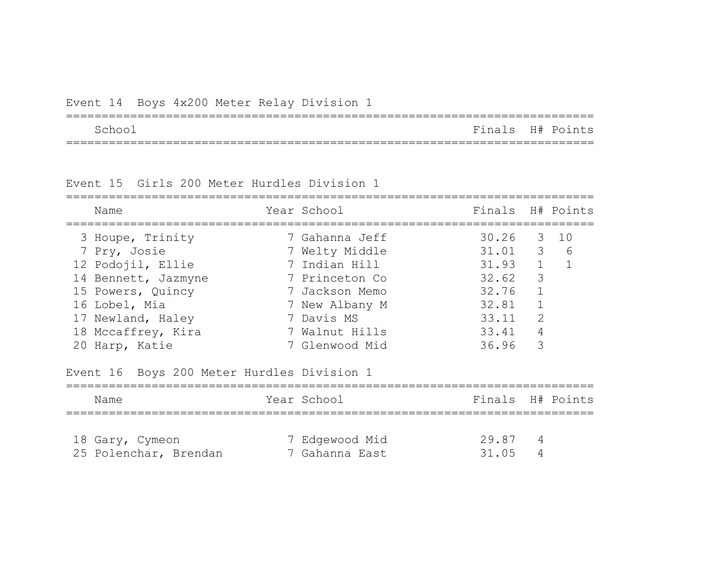| Event 14 Boys 4x200 Meter Relay Division 1 |  |
|--------------------------------------------|--|
|--------------------------------------------|--|

| Schoo | Finals H# Points |  |
|-------|------------------|--|
|       |                  |  |

Event 15 Girls 200 Meter Hurdles Division 1

| Name                                       | Year School    | Finals H# Points |                |      |
|--------------------------------------------|----------------|------------------|----------------|------|
| 3 Houpe, Trinity                           | 7 Gahanna Jeff | 30.26            |                | 3 10 |
| 7 Pry, Josie                               | 7 Welty Middle | $31.01$ 3        |                | 6    |
| 12 Podojil, Ellie                          | 7 Indian Hill  | $31.93$ 1        |                |      |
| 14 Bennett, Jazmyne                        | 7 Princeton Co | 32.62            | 3              |      |
| 15 Powers, Quincy                          | 7 Jackson Memo | 32.76            | $\mathbf{1}$   |      |
| 16 Lobel, Mia                              | 7 New Albany M | 32.81            | $\mathbf 1$    |      |
| 17 Newland, Haley                          | 7 Davis MS     | 33.11            | $\overline{2}$ |      |
| 18 Mccaffrey, Kira                         | 7 Walnut Hills | 33.41            | 4              |      |
| 20 Harp, Katie                             | 7 Glenwood Mid | 36.96            | 3              |      |
| Event 16 Boys 200 Meter Hurdles Division 1 |                |                  |                |      |
| Name                                       | Year School    | Finals H# Points |                |      |
|                                            |                |                  |                |      |
| 18 Gary, Cymeon                            | 7 Edgewood Mid | 29.87            | 4              |      |
| 25 Polenchar, Brendan                      | 7 Gahanna East | 31.05            | 4              |      |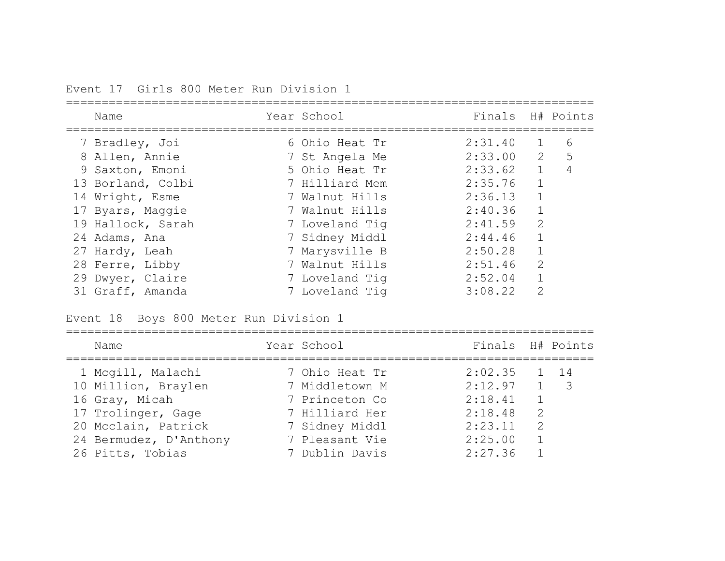Event 17 Girls 800 Meter Run Division 1

| Name              | Year School    | Finals  |                | H# Points   |
|-------------------|----------------|---------|----------------|-------------|
| 7 Bradley, Joi    | 6 Ohio Heat Tr | 2:31.40 |                | 6           |
| 8 Allen, Annie    | 7 St Angela Me | 2:33.00 | $\overline{2}$ | $5^{\circ}$ |
| 9 Saxton, Emoni   | 5 Ohio Heat Tr | 2:33.62 | $\mathbf{1}$   | 4           |
| 13 Borland, Colbi | 7 Hilliard Mem | 2:35.76 |                |             |
| 14 Wright, Esme   | 7 Walnut Hills | 2:36.13 |                |             |
| 17 Byars, Maggie  | 7 Walnut Hills | 2:40.36 | $\mathbf{1}$   |             |
| 19 Hallock, Sarah | 7 Loveland Tig | 2:41.59 | 2              |             |
| 24 Adams, Ana     | 7 Sidney Middl | 2:44.46 | $\mathbf{1}$   |             |
| 27 Hardy, Leah    | 7 Marysville B | 2:50.28 |                |             |
| 28 Ferre, Libby   | 7 Walnut Hills | 2:51.46 | 2              |             |
| 29 Dwyer, Claire  | 7 Loveland Tig | 2:52.04 |                |             |
| 31 Graff, Amanda  | 7 Loveland Tig | 3:08.22 | $\overline{2}$ |             |

Event 18 Boys 800 Meter Run Division 1

| Name                   | Year School    | Finals H# Points |               |              |
|------------------------|----------------|------------------|---------------|--------------|
| 1 Mcgill, Malachi      | 7 Ohio Heat Tr | 2:02.35          |               | $1 \quad 14$ |
| 10 Million, Braylen    | 7 Middletown M | $2:12.97$ 1 3    |               |              |
| 16 Gray, Micah         | 7 Princeton Co | 2:18.41          |               |              |
| 17 Trolinger, Gage     | 7 Hilliard Her | 2:18.48          | $\mathcal{P}$ |              |
| 20 Mcclain, Patrick    | 7 Sidney Middl | 2:23.11          | $\mathcal{L}$ |              |
| 24 Bermudez, D'Anthony | 7 Pleasant Vie | 2:25.00          |               |              |
| 26 Pitts, Tobias       | 7 Dublin Davis | 2:27.36          |               |              |
|                        |                |                  |               |              |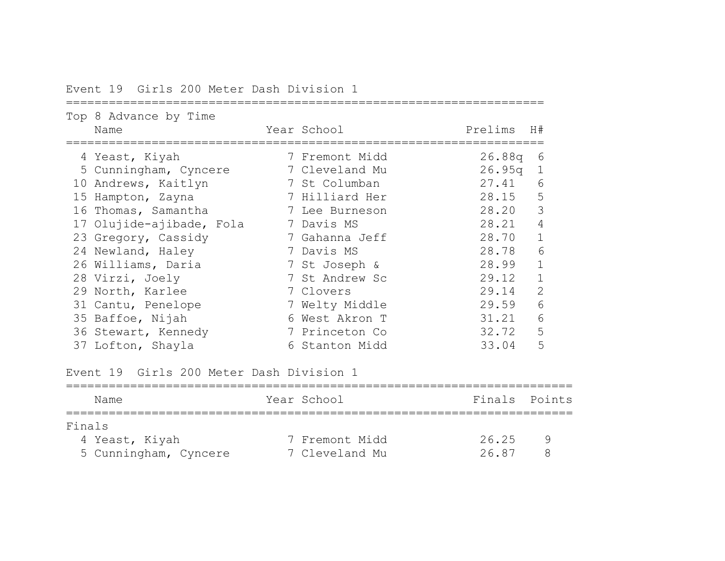Event 19 Girls 200 Meter Dash Division 1

|    | Top 8 Advance by Time<br>Name | Year School    | Prelims | H#             |
|----|-------------------------------|----------------|---------|----------------|
|    | 4 Yeast, Kiyah                | 7 Fremont Midd | 26.88q  | 6              |
|    | 5 Cunningham, Cyncere         | 7 Cleveland Mu | 26.95q  | 1              |
|    | 10 Andrews, Kaitlyn           | 7 St Columban  | 27.41   | 6              |
| 15 | Hampton, Zayna                | 7 Hilliard Her | 28.15   | 5              |
|    | 16 Thomas, Samantha           | 7 Lee Burneson | 28.20   | 3              |
|    | 17 Olujide-ajibade, Fola      | 7 Davis MS     | 28.21   | 4              |
|    | 23 Gregory, Cassidy           | 7 Gahanna Jeff | 28.70   |                |
|    | 24 Newland, Haley             | 7 Davis MS     | 28.78   | 6              |
|    | 26 Williams, Daria            | 7 St Joseph &  | 28.99   |                |
|    | 28 Virzi, Joely               | 7 St Andrew Sc | 29.12   |                |
|    | 29 North, Karlee              | 7 Clovers      | 29.14   | $\overline{2}$ |
|    | 31 Cantu, Penelope            | 7 Welty Middle | 29.59   | 6              |
|    | 35 Baffoe, Nijah              | 6 West Akron T | 31.21   | 6              |
|    | 36 Stewart, Kennedy           | 7 Princeton Co | 32.72   | 5              |
|    | 37 Lofton, Shayla             | 6 Stanton Midd | 33.04   | 5              |

Event 19 Girls 200 Meter Dash Division 1

| Name                  | Year School    | Finals Points |  |
|-----------------------|----------------|---------------|--|
| Finals                |                |               |  |
| 4 Yeast, Kiyah        | 7 Fremont Midd | 26.25         |  |
| 5 Cunningham, Cyncere | 7 Cleveland Mu | 2687          |  |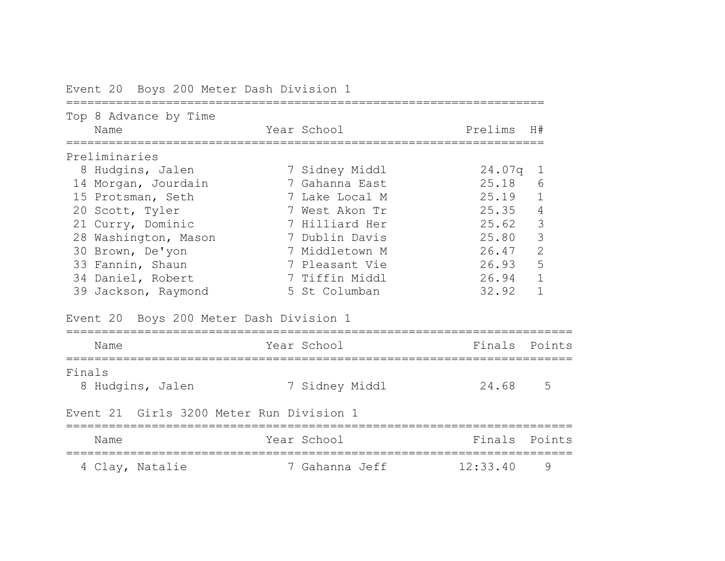|        | Top 8 Advance by Time<br>Name            | Year School    | Prelims H# |                |
|--------|------------------------------------------|----------------|------------|----------------|
|        | Preliminaries                            |                |            |                |
|        | 8 Hudgins, Jalen                         | 7 Sidney Middl | 24.07q     | $\mathbf 1$    |
|        | 14 Morgan, Jourdain                      | 7 Gahanna East | 25.18      | 6              |
|        | 15 Protsman, Seth                        | 7 Lake Local M | 25.19      | $\mathbf 1$    |
|        | 20 Scott, Tyler                          | 7 West Akon Tr | 25.35      | $\overline{4}$ |
|        | 21 Curry, Dominic                        | 7 Hilliard Her | 25.62      | 3              |
|        | 28 Washington, Mason                     | 7 Dublin Davis | 25.80      | $\mathfrak{Z}$ |
|        | 30 Brown, De'yon                         | 7 Middletown M | 26.47      | $\overline{2}$ |
|        | 33 Fannin, Shaun                         | 7 Pleasant Vie | 26.93      | 5              |
|        | 34 Daniel, Robert                        | 7 Tiffin Middl | 26.94      | $\mathbf{1}$   |
|        | 39 Jackson, Raymond                      | 5 St Columban  | 32.92      | $\mathbf{1}$   |
|        | Event 20 Boys 200 Meter Dash Division 1  |                |            |                |
|        | Name                                     | Year School    | Finals     | Points         |
| Finals |                                          |                |            |                |
|        | 8 Hudgins, Jalen                         | 7 Sidney Middl | 24.68      | 5              |
|        | Event 21 Girls 3200 Meter Run Division 1 |                |            |                |
|        | Name                                     | Year School    | Finals     | Points         |
|        | 4 Clay, Natalie                          | 7 Gahanna Jeff | 12:33.40   | 9              |

Event 20 Boys 200 Meter Dash Division 1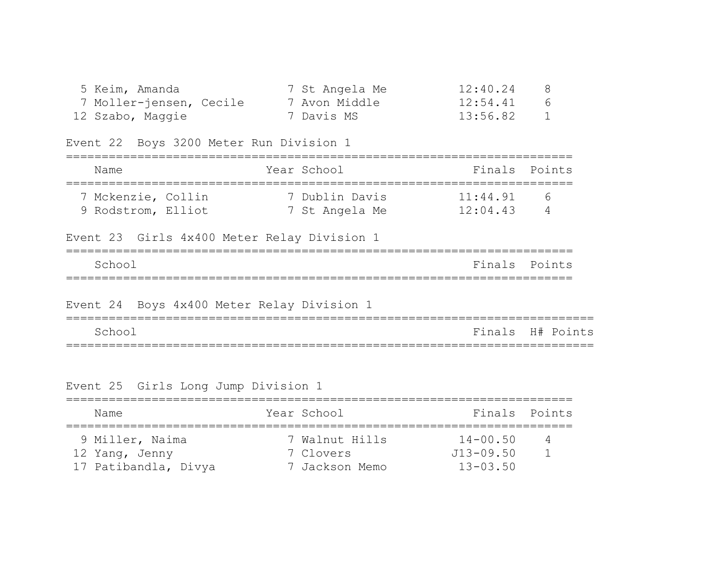| 5 Keim, Amanda          | 7 St Angela Me | 12:40.24 | 8              |
|-------------------------|----------------|----------|----------------|
| 7 Moller-jensen, Cecile | 7 Avon Middle  | 12:54.41 | 6              |
| 12 Szabo, Maggie        | 7 Davis MS     | 13:56.82 | $\overline{1}$ |

Event 22 Boys 3200 Meter Run Division 1

| Name                                     | Year School                      | Finals Points        |          |
|------------------------------------------|----------------------------------|----------------------|----------|
| 7 Mckenzie, Collin<br>9 Rodstrom, Elliot | 7 Dublin Davis<br>7 St Angela Me | 11:44.91<br>12:04.43 | $\kappa$ |

|        |  |  | Event 23 Girls 4x400 Meter Relay Division 1 |  |               |  |
|--------|--|--|---------------------------------------------|--|---------------|--|
| School |  |  |                                             |  | Finals Points |  |
|        |  |  |                                             |  |               |  |

Event 24 Boys 4x400 Meter Relay Division 1 ========================================================================== School Finals H# Points ==========================================================================

Event 25 Girls Long Jump Division 1

| Name                 | Year School    | Finals Points |         |
|----------------------|----------------|---------------|---------|
| 9 Miller, Naima      | 7 Walnut Hills | $14 - 00.50$  | $\perp$ |
| 12 Yang, Jenny       | 7 Clovers      | $J13 - 09.50$ |         |
| 17 Patibandla, Divya | 7 Jackson Memo | $13 - 03.50$  |         |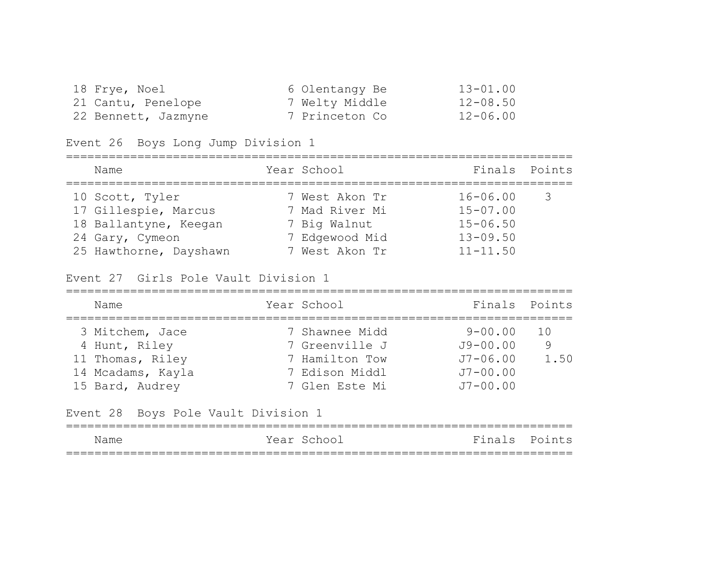| 18 Frye, Noel       | 6 Olentangy Be | $13 - 01.00$ |
|---------------------|----------------|--------------|
| 21 Cantu, Penelope  | 7 Welty Middle | $12 - 08.50$ |
| 22 Bennett, Jazmyne | 7 Princeton Co | $12 - 06.00$ |

Event 26 Boys Long Jump Division 1

| Name                   | Year School    | Finals Points |                         |
|------------------------|----------------|---------------|-------------------------|
| 10 Scott, Tyler        | 7 West Akon Tr | $16 - 06.00$  | $\overline{\mathbf{3}}$ |
| 17 Gillespie, Marcus   | 7 Mad River Mi | $15 - 07.00$  |                         |
| 18 Ballantyne, Keegan  | 7 Big Walnut   | $15 - 06.50$  |                         |
| 24 Gary, Cymeon        | 7 Edgewood Mid | $13 - 09.50$  |                         |
| 25 Hawthorne, Dayshawn | 7 West Akon Tr | $11 - 11.50$  |                         |

Event 27 Girls Pole Vault Division 1

| Name                                | Year School    | Finals Points |      |
|-------------------------------------|----------------|---------------|------|
| 3 Mitchem, Jace                     | 7 Shawnee Midd | $9 - 00.00$   | 1 Q  |
| 4 Hunt, Riley                       | 7 Greenville J | $J9 - 00.00$  | 9    |
| 11 Thomas, Riley                    | 7 Hamilton Tow | $J7 - 06.00$  | 1.50 |
| 14 Mcadams, Kayla                   | 7 Edison Middl | $J7 - 00.00$  |      |
| 15 Bard, Audrey                     | 7 Glen Este Mi | $J7 - 00.00$  |      |
| Event 28 Boys Pole Vault Division 1 |                |               |      |

| Name | Year School | Finals Points |  |
|------|-------------|---------------|--|
|      |             |               |  |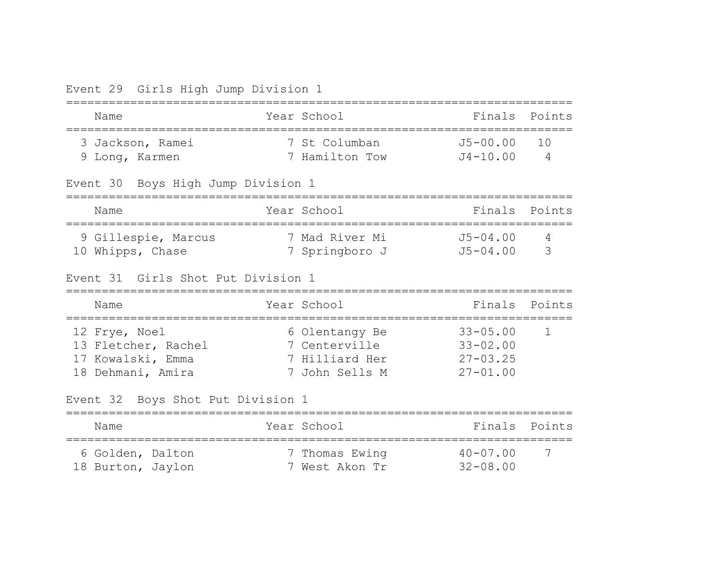|  |  | Event 29 Girls High Jump Division 1 |  |
|--|--|-------------------------------------|--|
|  |  |                                     |  |

| Name                                                                           | Year School                                                         | Finals                                                       | Points              |
|--------------------------------------------------------------------------------|---------------------------------------------------------------------|--------------------------------------------------------------|---------------------|
| 3 Jackson, Ramei<br>9 Long, Karmen                                             | 7 St Columban<br>7 Hamilton Tow                                     | $J5 - 00.00$<br>$J4 - 10.00$                                 | 1 O<br>4            |
| Event 30 Boys High Jump Division 1                                             |                                                                     |                                                              |                     |
| Name                                                                           | Year School                                                         | Finals                                                       | Points              |
| 9 Gillespie, Marcus<br>10 Whipps, Chase                                        | 7 Mad River Mi<br>7 Springboro J                                    | $J5 - 04.00$<br>$J5 - 04.00$                                 | $\overline{4}$<br>3 |
| Event 31 Girls Shot Put Division 1                                             |                                                                     |                                                              |                     |
| Name                                                                           | Year School                                                         | Finals                                                       | Points              |
| 12 Frye, Noel<br>13 Fletcher, Rachel<br>17 Kowalski, Emma<br>18 Dehmani, Amira | 6 Olentangy Be<br>7 Centerville<br>7 Hilliard Her<br>7 John Sells M | $33 - 05.00$<br>$33 - 02.00$<br>$27 - 03.25$<br>$27 - 01.00$ | $\mathbf{1}$        |
| Event 32 Boys Shot Put Division 1                                              |                                                                     |                                                              |                     |
|                                                                                |                                                                     |                                                              |                     |
| Name                                                                           | Year School<br>-----------------                                    | Finals                                                       | Points              |